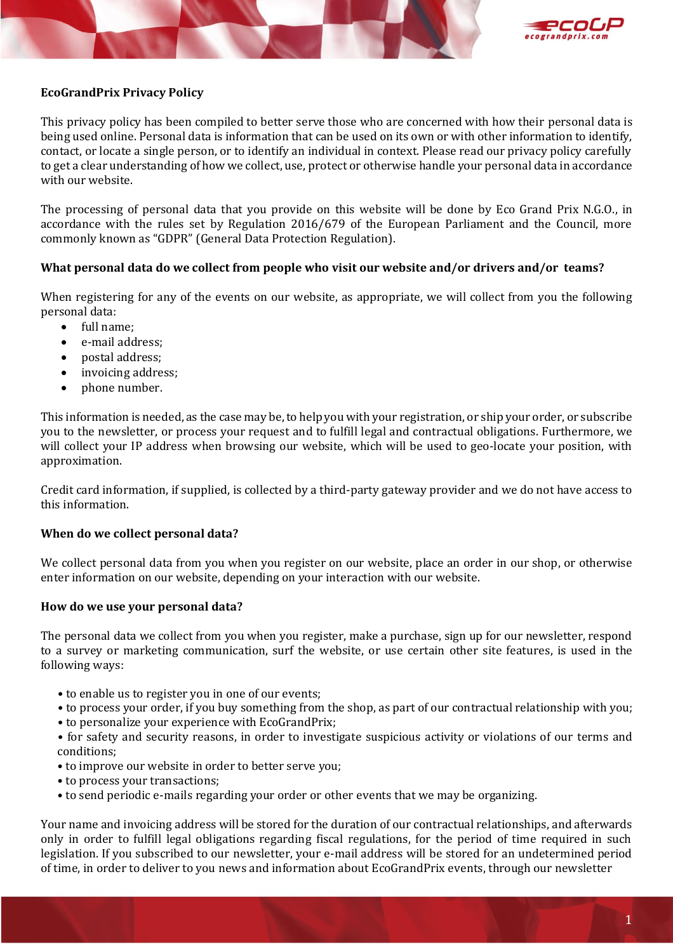



# **EcoGrandPrix Privacy Policy**

This privacy policy has been compiled to better serve those who are concerned with how their personal data is being used online. Personal data is information that can be used on its own or with other information to identify, contact, or locate a single person, or to identify an individual in context. Please read our privacy policy carefully to get a clear understanding of how we collect, use, protect or otherwise handle your personal data in accordance with our website.

The processing of personal data that you provide on this website will be done by Eco Grand Prix N.G.O., in accordance with the rules set by Regulation 2016/679 of the European Parliament and the Council, more commonly known as "GDPR" (General Data Protection Regulation).

## **What personal data do we collect from people who visit our website and/or drivers and/or teams?**

When registering for any of the events on our website, as appropriate, we will collect from you the following personal data:

- full name;
- e-mail address;
- postal address;
- invoicing address;
- phone number.

This information is needed, as the case may be, to help you with your registration, or ship your order, or subscribe you to the newsletter, or process your request and to fulfill legal and contractual obligations. Furthermore, we will collect your IP address when browsing our website, which will be used to geo-locate your position, with approximation.

Credit card information, if supplied, is collected by a third-party gateway provider and we do not have access to this information.

## **When do we collect personal data?**

We collect personal data from you when you register on our website, place an order in our shop, or otherwise enter information on our website, depending on your interaction with our website.

#### **How do we use your personal data?**

The personal data we collect from you when you register, make a purchase, sign up for our newsletter, respond to a survey or marketing communication, surf the website, or use certain other site features, is used in the following ways:

- **•** to enable us to register you in one of our events;
- **•** to process your order, if you buy something from the shop, as part of our contractual relationship with you;
- **•** to personalize your experience with EcoGrandPrix;

**•** for safety and security reasons, in order to investigate suspicious activity or violations of our terms and conditions;

- **•** to improve our website in order to better serve you;
- **•** to process your transactions;
- **•** to send periodic e-mails regarding your order or other events that we may be organizing.

Your name and invoicing address will be stored for the duration of our contractual relationships, and afterwards only in order to fulfill legal obligations regarding fiscal regulations, for the period of time required in such legislation. If you subscribed to our newsletter, your e-mail address will be stored for an undetermined period of time, in order to deliver to you news and information about EcoGrandPrix events, through our newsletter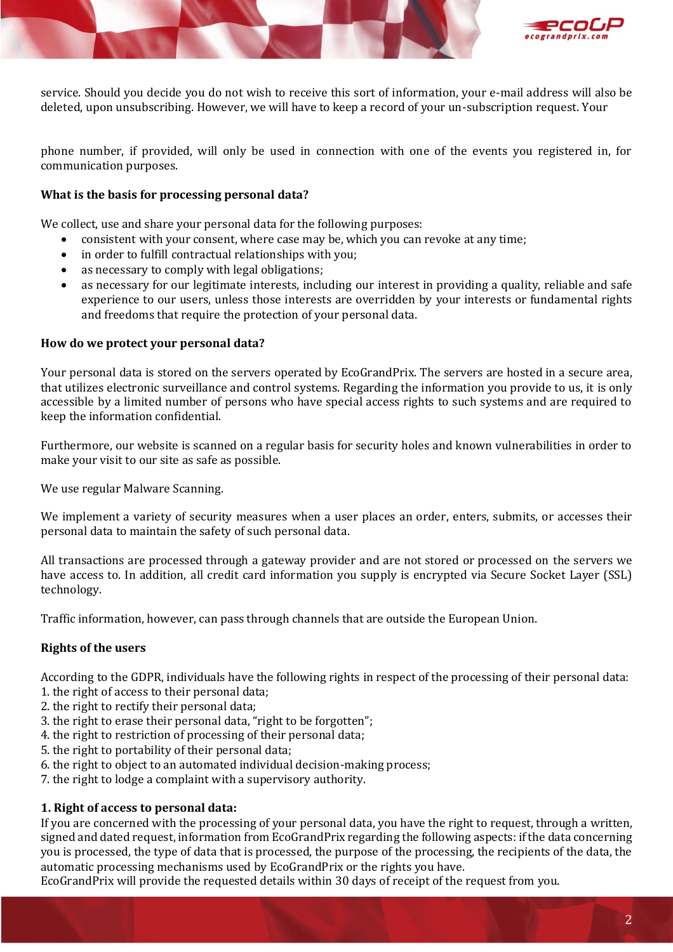



service. Should you decide you do not wish to receive this sort of information, your e-mail address will also be deleted, upon unsubscribing. However, we will have to keep a record of your un-subscription request. Your

phone number, if provided, will only be used in connection with one of the events you registered in, for communication purposes.

## **What is the basis for processing personal data?**

We collect, use and share your personal data for the following purposes:

- consistent with your consent, where case may be, which you can revoke at any time;
- in order to fulfill contractual relationships with you;
- as necessary to comply with legal obligations;
- as necessary for our legitimate interests, including our interest in providing a quality, reliable and safe experience to our users, unless those interests are overridden by your interests or fundamental rights and freedoms that require the protection of your personal data.

#### **How do we protect your personal data?**

Your personal data is stored on the servers operated by EcoGrandPrix. The servers are hosted in a secure area, that utilizes electronic surveillance and control systems. Regarding the information you provide to us, it is only accessible by a limited number of persons who have special access rights to such systems and are required to keep the information confidential.

Furthermore, our website is scanned on a regular basis for security holes and known vulnerabilities in order to make your visit to our site as safe as possible.

We use regular Malware Scanning.

We implement a variety of security measures when a user places an order, enters, submits, or accesses their personal data to maintain the safety of such personal data.

All transactions are processed through a gateway provider and are not stored or processed on the servers we have access to. In addition, all credit card information you supply is encrypted via Secure Socket Layer (SSL) technology.

Traffic information, however, can pass through channels that are outside the European Union.

## **Rights of the users**

According to the GDPR, individuals have the following rights in respect of the processing of their personal data:

- 1. the right of access to their personal data;
- 2. the right to rectify their personal data;
- 3. the right to erase their personal data, "right to be forgotten";
- 4. the right to restriction of processing of their personal data;
- 5. the right to portability of their personal data;
- 6. the right to object to an automated individual decision-making process;
- 7. the right to lodge a complaint with a supervisory authority.

## **1. Right of access to personal data:**

If you are concerned with the processing of your personal data, you have the right to request, through a written, signed and dated request, information from EcoGrandPrix regarding the following aspects: if the data concerning you is processed, the type of data that is processed, the purpose of the processing, the recipients of the data, the automatic processing mechanisms used by EcoGrandPrix or the rights you have.

EcoGrandPrix will provide the requested details within 30 days of receipt of the request from you.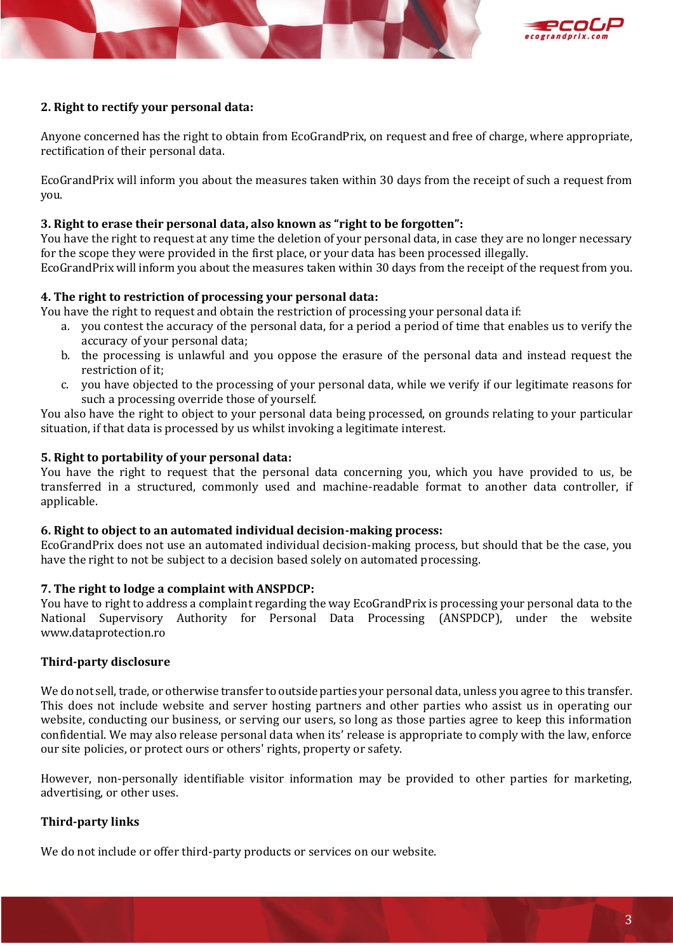



#### **2. Right to rectify your personal data:**

Anyone concerned has the right to obtain from EcoGrandPrix, on request and free of charge, where appropriate, rectification of their personal data.

EcoGrandPrix will inform you about the measures taken within 30 days from the receipt of such a request from you.

#### **3. Right to erase their personal data, also known as "right to be forgotten":**

You have the right to request at any time the deletion of your personal data, in case they are no longer necessary for the scope they were provided in the first place, or your data has been processed illegally.

EcoGrandPrix will inform you about the measures taken within 30 days from the receipt of the request from you.

## **4. The right to restriction of processing your personal data:**

- You have the right to request and obtain the restriction of processing your personal data if:
	- a. you contest the accuracy of the personal data, for a period a period of time that enables us to verify the accuracy of your personal data;
	- b. the processing is unlawful and you oppose the erasure of the personal data and instead request the restriction of it;
	- c. you have objected to the processing of your personal data, while we verify if our legitimate reasons for such a processing override those of yourself.

You also have the right to object to your personal data being processed, on grounds relating to your particular situation, if that data is processed by us whilst invoking a legitimate interest.

#### **5. Right to portability of your personal data:**

You have the right to request that the personal data concerning you, which you have provided to us, be transferred in a structured, commonly used and machine-readable format to another data controller, if applicable.

#### **6. Right to object to an automated individual decision-making process:**

EcoGrandPrix does not use an automated individual decision-making process, but should that be the case, you have the right to not be subject to a decision based solely on automated processing.

## **7. The right to lodge a complaint with ANSPDCP:**

You have to right to address a complaint regarding the way EcoGrandPrix is processing your personal data to the National Supervisory Authority for Personal Data Processing (ANSPDCP), under the website www.dataprotection.ro

## **Third-party disclosure**

We do not sell, trade, or otherwise transfer to outside parties your personal data, unless you agree to this transfer. This does not include website and server hosting partners and other parties who assist us in operating our website, conducting our business, or serving our users, so long as those parties agree to keep this information confidential. We may also release personal data when its' release is appropriate to comply with the law, enforce our site policies, or protect ours or others' rights, property or safety.

However, non-personally identifiable visitor information may be provided to other parties for marketing, advertising, or other uses.

## **Third-party links**

We do not include or offer third-party products or services on our website.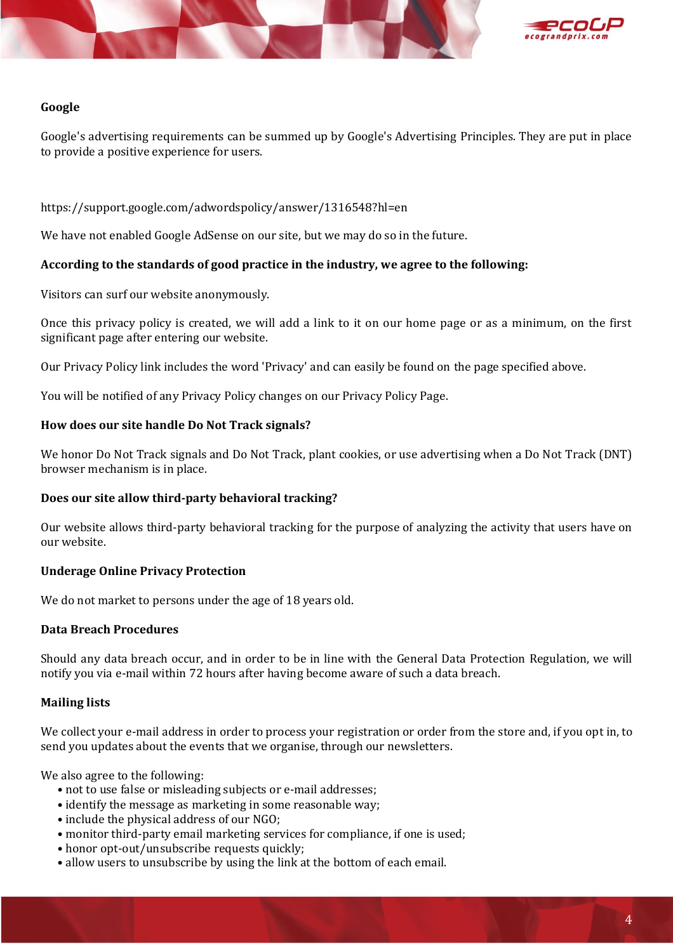



## **Google**

Google's advertising requirements can be summed up by Google's Advertising Principles. They are put in place to provide a positive experience for users.

https://support.google.com/adwordspolicy/answer/1316548?hl=en

We have not enabled Google AdSense on our site, but we may do so in the future.

## **According to the standards of good practice in the industry, we agree to the following:**

Visitors can surf our website anonymously.

Once this privacy policy is created, we will add a link to it on our home page or as a minimum, on the first significant page after entering our website.

Our Privacy Policy link includes the word 'Privacy' and can easily be found on the page specified above.

You will be notified of any Privacy Policy changes on our Privacy Policy Page.

#### **How does our site handle Do Not Track signals?**

We honor Do Not Track signals and Do Not Track, plant cookies, or use advertising when a Do Not Track (DNT) browser mechanism is in place.

#### **Does our site allow third-party behavioral tracking?**

Our website allows third-party behavioral tracking for the purpose of analyzing the activity that users have on our website.

## **Underage Online Privacy Protection**

We do not market to persons under the age of 18 years old.

#### **Data Breach Procedures**

Should any data breach occur, and in order to be in line with the General Data Protection Regulation, we will notify you via e-mail within 72 hours after having become aware of such a data breach.

## **Mailing lists**

We collect your e-mail address in order to process your registration or order from the store and, if you opt in, to send you updates about the events that we organise, through our newsletters.

We also agree to the following:

- **•** not to use false or misleading subjects or e-mail addresses;
- **•** identify the message as marketing in some reasonable way;
- **•** include the physical address of our NGO;
- **•** monitor third-party email marketing services for compliance, if one is used;
- **•** honor opt-out/unsubscribe requests quickly;
- **•** allow users to unsubscribe by using the link at the bottom of each email.